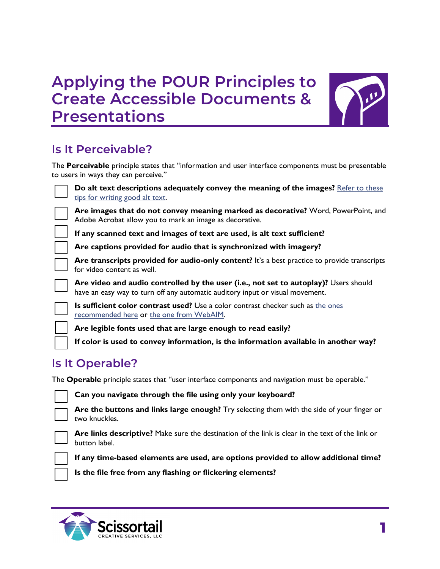# **Applying the POUR Principles to Create Accessible Documents & Presentations**



### **Is It Perceivable?**

The **Perceivable** principle states that "information and user interface components must be presentable to users in ways they can perceive."



**Do alt text descriptions adequately convey the meaning of the images?** [Refer to these](https://webaim.org/techniques/alttext/)  [tips for writing good alt text.](https://webaim.org/techniques/alttext/)

**Are images that do not convey meaning marked as decorative?** Word, PowerPoint, and Adobe Acrobat allow you to mark an image as decorative.

**If any scanned text and images of text are used, is alt text sufficient?**

**Are captions provided for audio that is synchronized with imagery?** 

**Are transcripts provided for audio-only content?** It's a best practice to provide transcripts for video content as well.

**Are video and audio controlled by the user (i.e., not set to autoplay)?** Users should have an easy way to turn off any automatic auditory input or visual movement.

**Is sufficient color contrast used?** Use a color contrast checker such as [the ones](https://axesslab.com/top-color-contrast-checkers/)  [recommended here](https://axesslab.com/top-color-contrast-checkers/) or [the one from WebAIM.](https://webaim.org/resources/contrastchecker/) 

**Are legible fonts used that are large enough to read easily?**

**If color is used to convey information, is the information available in another way?**

#### **Is It Operable?**

The **Operable** principle states that "user interface components and navigation must be operable."

**Can you navigate through the file using only your keyboard?**

**Are the buttons and links large enough?** Try selecting them with the side of your finger or two knuckles.



**Are links descriptive?** Make sure the destination of the link is clear in the text of the link or button label.

**If any time-based elements are used, are options provided to allow additional time?** 

**Is the file free from any flashing or flickering elements?**